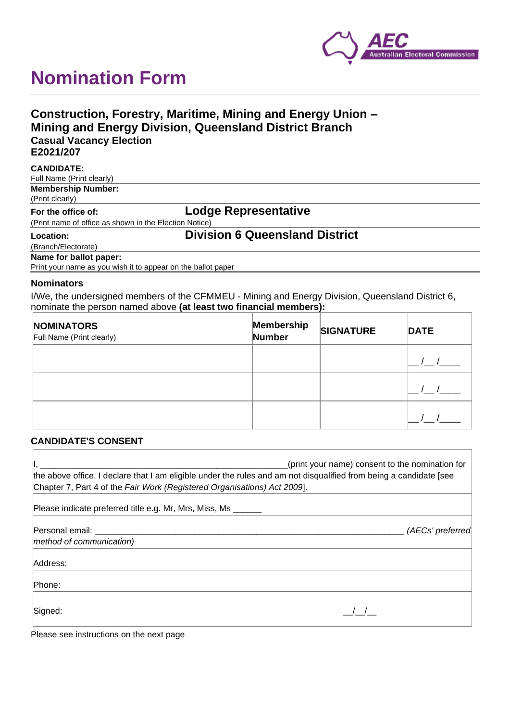

# **Nomination Form**

## **Construction, Forestry, Maritime, Mining and Energy Union – Mining and Energy Division, Queensland District Branch Casual Vacancy Election E2021/207**

| <b>CANDIDATE:</b>                                            |                                       |
|--------------------------------------------------------------|---------------------------------------|
| Full Name (Print clearly)                                    |                                       |
| <b>Membership Number:</b>                                    |                                       |
| (Print clearly)                                              |                                       |
| For the office of:                                           | Lodge Representative                  |
| (Print name of office as shown in the Election Notice)       |                                       |
| Location:                                                    | <b>Division 6 Queensland District</b> |
| (Branch/Electorate)                                          |                                       |
| Name for ballot paper:                                       |                                       |
| Print your name as you wish it to appear on the ballot paper |                                       |

### **Nominators**

I/We, the undersigned members of the CFMMEU - Mining and Energy Division, Queensland District 6, nominate the person named above **(at least two financial members):**

| <b>NOMINATORS</b><br>Full Name (Print clearly) | Membership<br>Number | <b>SIGNATURE</b> | <b>DATE</b> |
|------------------------------------------------|----------------------|------------------|-------------|
|                                                |                      |                  |             |
|                                                |                      |                  |             |
|                                                |                      |                  |             |

#### **CANDIDATE'S CONSENT**

| (print your name) consent to the nomination for<br>the above office. I declare that I am eligible under the rules and am not disqualified from being a candidate [see<br>Chapter 7, Part 4 of the Fair Work (Registered Organisations) Act 2009]. |                  |  |  |  |
|---------------------------------------------------------------------------------------------------------------------------------------------------------------------------------------------------------------------------------------------------|------------------|--|--|--|
| Please indicate preferred title e.g. Mr, Mrs, Miss, Ms ______                                                                                                                                                                                     |                  |  |  |  |
| Personal email:<br>method of communication)                                                                                                                                                                                                       | (AECs' preferred |  |  |  |
| Address:                                                                                                                                                                                                                                          |                  |  |  |  |
| Phone:                                                                                                                                                                                                                                            |                  |  |  |  |
| Signed:                                                                                                                                                                                                                                           |                  |  |  |  |

Please see instructions on the next page